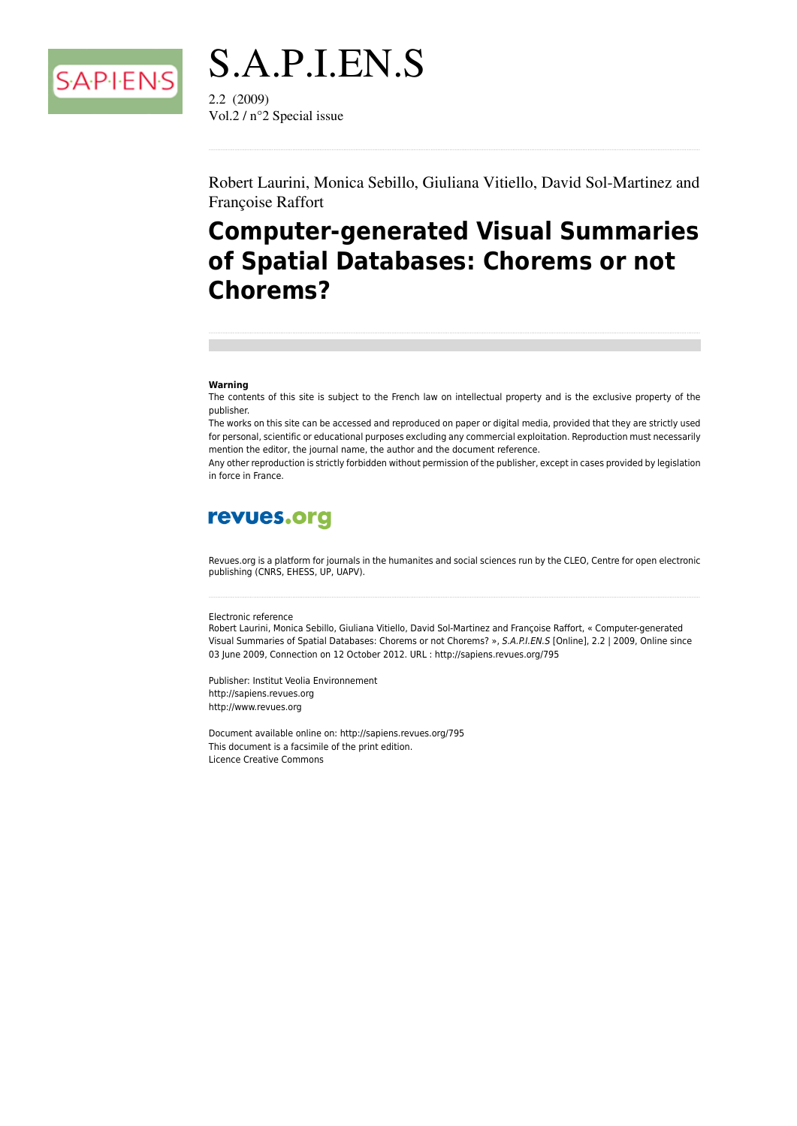

S.A.P.I.EN.S  $2.2(2009)$ Vol.2 /  $n^{\circ}$ 2 Special issue

Robert Laurini, Monica Sebillo, Giuliana Vitiello, David Sol-Martinez and Françoise Raffort

## **Computer-generated Visual Summaries** of Spatial Databases: Chorems or not **Chorems?**

#### Warning

The contents of this site is subject to the French law on intellectual property and is the exclusive property of the publisher.

The works on this site can be accessed and reproduced on paper or digital media, provided that they are strictly used for personal, scientific or educational purposes excluding any commercial exploitation. Reproduction must necessarily mention the editor, the journal name, the author and the document reference.

Any other reproduction is strictly forbidden without permission of the publisher, except in cases provided by legislation in force in France.

## revues.org

Revues.org is a platform for journals in the humanites and social sciences run by the CLEO, Centre for open electronic publishing (CNRS, EHESS, UP, UAPV).

#### Electronic reference

Robert Laurini, Monica Sebillo, Giuliana Vitiello, David Sol-Martinez and Françoise Raffort, « Computer-generated Visual Summaries of Spatial Databases: Chorems or not Chorems? », S.A.P.I.EN.S [Online], 2.2 | 2009, Online since 03 June 2009, Connection on 12 October 2012. URL : http://sapiens.revues.org/795

Publisher: Institut Veolia Environnement http://sapiens.revues.org http://www.revues.org

Document available online on: http://sapiens.revues.org/795 This document is a facsimile of the print edition. Licence Creative Commons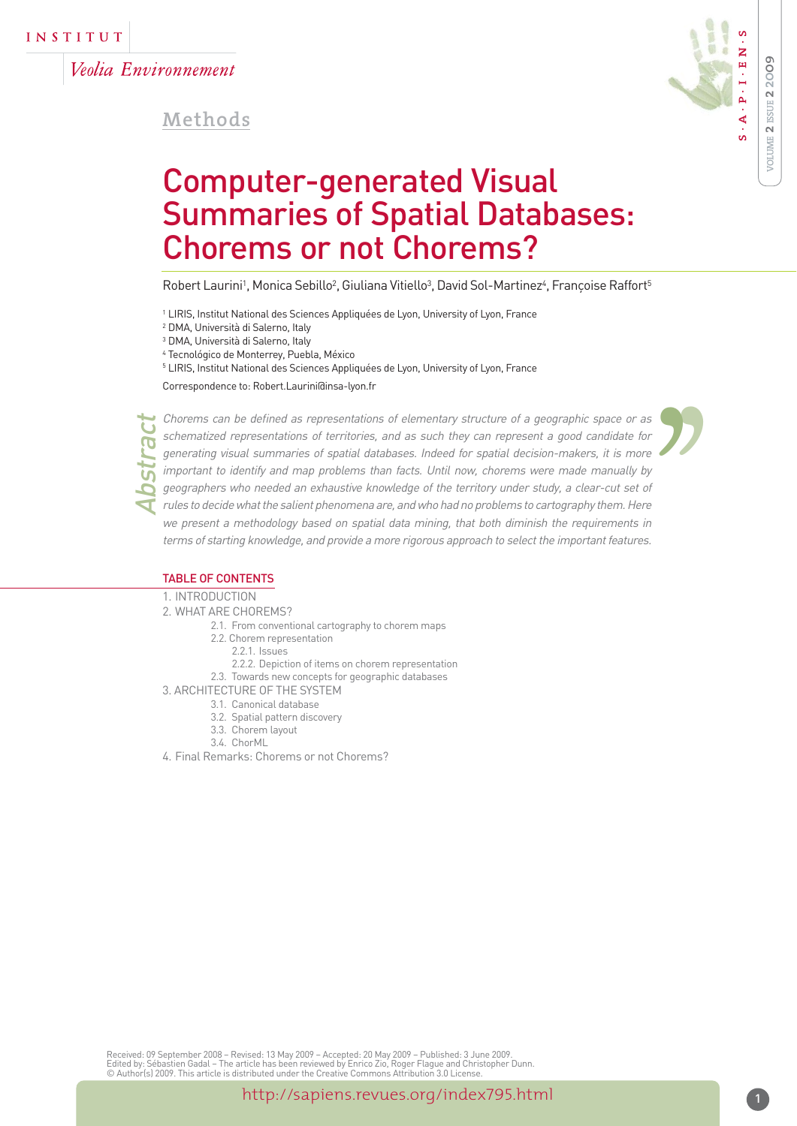Veolia Environnement

**Methods**



'

# Computer-generated Visual Summaries of Spatial Databases: Chorems or not Chorems?

Robert Laurini', Monica Sebillo<sup>2</sup>, Giuliana Vitiello<sup>3</sup>, David Sol-Martinez<sup>4</sup>, Françoise Raffort<sup>5</sup>

<sup>1</sup> LIRIS, Institut National des Sciences Appliquées de Lyon, University of Lyon, France

<sup>2</sup> DMA, Università di Salerno, Italy

<sup>3</sup> DMA, Università di Salerno, Italy

<sup>4</sup> Tecnológico de Monterrey, Puebla, México

<sup>5</sup> LIRIS, Institut National des Sciences Appliquées de Lyon, University of Lyon, France

Correspondence to: Robert.Laurini@insa-lyon.fr

Chorems can be defined as representations of elementary structure of a geographic space or as schematized representations of territories, and as such they can represent a good candidate for generating visual summaries of spatial databases. Indeed for spatial decision-makers, it is more important to identify and map problems than facts. Until now, chorems were made manually by geographers who needed an exhaustive knowledge of the territory under study, a clear-cut set of rules to decide what the salient phenomena are, and who had no problems to cartography them. Here we present a methodology based on spatial data mining, that both diminish the requirements in terms of starting knowledge, and provide a more rigorous approach to select the important features.  $\begin{bmatrix} 1 \\ 2 \\ 3 \\ 4 \\ 5 \\ 6 \\ 7 \end{bmatrix}$ 

#### TABLE OF CONTENTS

1. INTRODUCTION

2. WHAT ARE CHOREMS?

- 2.1. From conventional cartography to chorem maps
- 2.2. Chorem representation
	- 221 Issues
	- 2.2.2. Depiction of items on chorem representation
- 2.3. Towards new concepts for geographic databases
- 3. ARCHITECTURE OF THE SYSTEM
	- 3.1. Canonical database
	- 3.2. Spatial pattern discovery
	- 3.3. Chorem layout
	- 3.4. ChorML
- 4. Final Remarks: Chorems or not Chorems?

Received: 09 September 2008 – Revised: 13 May 2009 – Accepted: 20 May 2009 – Published: 3 June 2009. Edited by: Sébastien Gadal – The article has been reviewed by Enrico Zio, Roger Flague and Christopher Dunn. © Author(s) 2009. This article is distributed under the Creative Commons Attribution 3.0 License.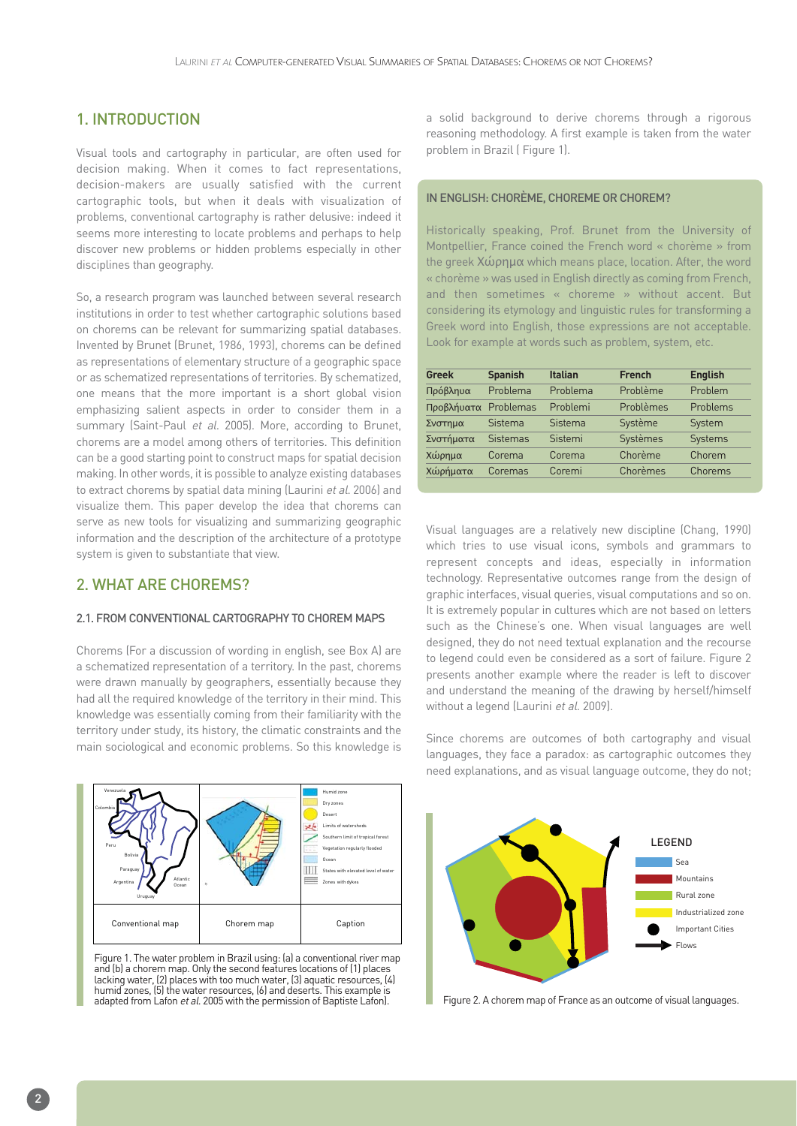## 1. INTRODUCTION

Visual tools and cartography in particular, are often used for decision making. When it comes to fact representations, decision-makers are usually satisfied with the current cartographic tools, but when it deals with visualization of problems, conventional cartography is rather delusive: indeed it seems more interesting to locate problems and perhaps to help discover new problems or hidden problems especially in other disciplines than geography.

So, a research program was launched between several research institutions in order to test whether cartographic solutions based on chorems can be relevant for summarizing spatial databases. Invented by Brunet (Brunet, 1986, 1993), chorems can be defined as representations of elementary structure of a geographic space or as schematized representations of territories. By schematized, one means that the more important is a short global vision emphasizing salient aspects in order to consider them in a summary (Saint-Paul et al. 2005). More, according to Brunet, chorems are a model among others of territories. This definition can be a good starting point to construct maps for spatial decision making. In other words, it is possible to analyze existing databases to extract chorems by spatial data mining (Laurini et al. 2006) and visualize them. This paper develop the idea that chorems can serve as new tools for visualizing and summarizing geographic information and the description of the architecture of a prototype system is given to substantiate that view.

### 2. WHAT ARE CHOREMS?

#### 2.1. FROM CONVENTIONAL CARTOGRAPHY TO CHOREM MAPS

Chorems (For a discussion of wording in english, see Box A) are a schematized representation of a territory. In the past, chorems were drawn manually by geographers, essentially because they had all the required knowledge of the territory in their mind. This knowledge was essentially coming from their familiarity with the territory under study, its history, the climatic constraints and the main sociological and economic problems. So this knowledge is



Figure 1. The water problem in Brazil using: (a) a conventional river map and (b) a chorem map. Only the second features locations of (1) places lacking water, (2) places with too much water, (3) aquatic resources, (4) humid zones, (5) the water resources, (6) and deserts. This example is adapted from Lafon *et al.* 2005 with the permission of Baptiste Lafon).

a solid background to derive chorems through a rigorous reasoning methodology. A first example is taken from the water problem in Brazil ( Figure 1).

#### IN ENGLISH: CHORÈME, CHOREME OR CHOREM?

Historically speaking, Prof. Brunet from the University of Montpellier, France coined the French word « chorème » from the greek Χώρηµα which means place, location. After, the word « chorème » was used in English directly as coming from French, and then sometimes « choreme » without accent. But considering its etymology and linguistic rules for transforming a Greek word into English, those expressions are not acceptable. Look for example at words such as problem, system, etc.

| <b>Greek</b>         | <b>Spanish</b> | <b>Italian</b> | <b>French</b> | <b>English</b> |
|----------------------|----------------|----------------|---------------|----------------|
| Πρόβληυα             | Problema       | Problema       | Problème      | Problem        |
| Προβλήυατα Problemas |                | Problemi       | Problèmes     | Problems       |
| Σνστημα              | Sistema        | Sistema        | Système       | System         |
| Σνστήματα            | Sistemas       | Sistemi        | Systèmes      | <b>Systems</b> |
| Χώρημα               | Corema         | Corema         | Chorème       | Chorem         |
| Χώρήματα             | Coremas        | Coremi         | Chorèmes      | Chorems        |

Visual languages are a relatively new discipline (Chang, 1990) which tries to use visual icons, symbols and grammars to represent concepts and ideas, especially in information technology. Representative outcomes range from the design of graphic interfaces, visual queries, visual computations and so on. It is extremely popular in cultures which are not based on letters such as the Chinese's one. When visual languages are well designed, they do not need textual explanation and the recourse to legend could even be considered as a sort of failure. Figure 2 presents another example where the reader is left to discover and understand the meaning of the drawing by herself/himself without a legend (Laurini et al. 2009).

Since chorems are outcomes of both cartography and visual languages, they face a paradox: as cartographic outcomes they need explanations, and as visual language outcome, they do not;



Figure 2. A chorem map of France as an outcome of visual languages.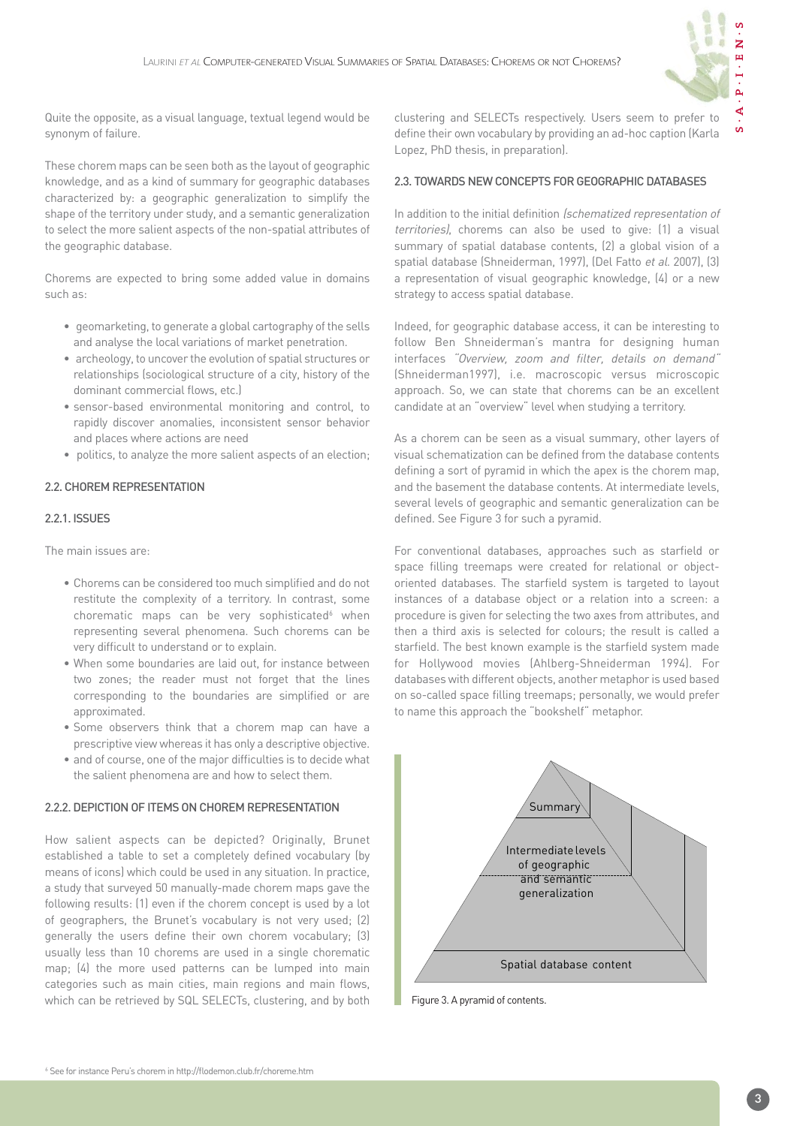

 $\mathbf{S}$ 

Quite the opposite, as a visual language, textual legend would be synonym of failure.

These chorem maps can be seen both as the layout of geographic knowledge, and as a kind of summary for geographic databases characterized by: a geographic generalization to simplify the shape of the territory under study, and a semantic generalization to select the more salient aspects of the non-spatial attributes of the geographic database.

Chorems are expected to bring some added value in domains such as:

- geomarketing, to generate a global cartography of the sells and analyse the local variations of market penetration.
- archeology, to uncover the evolution of spatial structures or relationships (sociological structure of a city, history of the dominant commercial flows, etc.)
- sensor-based environmental monitoring and control, to rapidly discover anomalies, inconsistent sensor behavior and places where actions are need
- politics, to analyze the more salient aspects of an election;

#### 2.2. CHOREM REPRESENTATION

#### 2.2.1. ISSUES

The main issues are:

- Chorems can be considered too much simplified and do not restitute the complexity of a territory. In contrast, some chorematic maps can be very sophisticated<sup>6</sup> when representing several phenomena. Such chorems can be very difficult to understand or to explain.
- When some boundaries are laid out, for instance between two zones; the reader must not forget that the lines corresponding to the boundaries are simplified or are approximated.
- Some observers think that a chorem map can have a prescriptive view whereas it has only a descriptive objective.
- and of course, one of the major difficulties is to decide what the salient phenomena are and how to select them.

#### 2.2.2. DEPICTION OF ITEMS ON CHOREM REPRESENTATION

How salient aspects can be depicted? Originally, Brunet established a table to set a completely defined vocabulary (by means of icons) which could be used in any situation. In practice, a study that surveyed 50 manually-made chorem maps gave the following results: (1) even if the chorem concept is used by a lot of geographers, the Brunet's vocabulary is not very used; (2) generally the users define their own chorem vocabulary; (3) usually less than 10 chorems are used in a single chorematic map; (4) the more used patterns can be lumped into main categories such as main cities, main regions and main flows, which can be retrieved by SQL SELECTs, clustering, and by both clustering and SELECTs respectively. Users seem to prefer to define their own vocabulary by providing an ad-hoc caption (Karla Lopez, PhD thesis, in preparation).

#### 2.3. TOWARDS NEW CONCEPTS FOR GEOGRAPHIC DATABASES

In addition to the initial definition (schematized representation of territories), chorems can also be used to give: (1) a visual summary of spatial database contents, (2) a global vision of a spatial database (Shneiderman, 1997), (Del Fatto et al. 2007), (3) a representation of visual geographic knowledge, (4) or a new strategy to access spatial database.

Indeed, for geographic database access, it can be interesting to follow Ben Shneiderman's mantra for designing human interfaces "Overview, zoom and filter, details on demand" (Shneiderman1997), i.e. macroscopic versus microscopic approach. So, we can state that chorems can be an excellent candidate at an "overview" level when studying a territory.

As a chorem can be seen as a visual summary, other layers of visual schematization can be defined from the database contents defining a sort of pyramid in which the apex is the chorem map, and the basement the database contents. At intermediate levels, several levels of geographic and semantic generalization can be defined. See Figure 3 for such a pyramid.

For conventional databases, approaches such as starfield or space filling treemaps were created for relational or objectoriented databases. The starfield system is targeted to layout instances of a database object or a relation into a screen: a procedure is given for selecting the two axes from attributes, and then a third axis is selected for colours; the result is called a starfield. The best known example is the starfield system made for Hollywood movies (Ahlberg-Shneiderman 1994). For databases with different objects, another metaphor is used based on so-called space filling treemaps; personally, we would prefer to name this approach the "bookshelf" metaphor.



Figure 3. A pyramid of contents.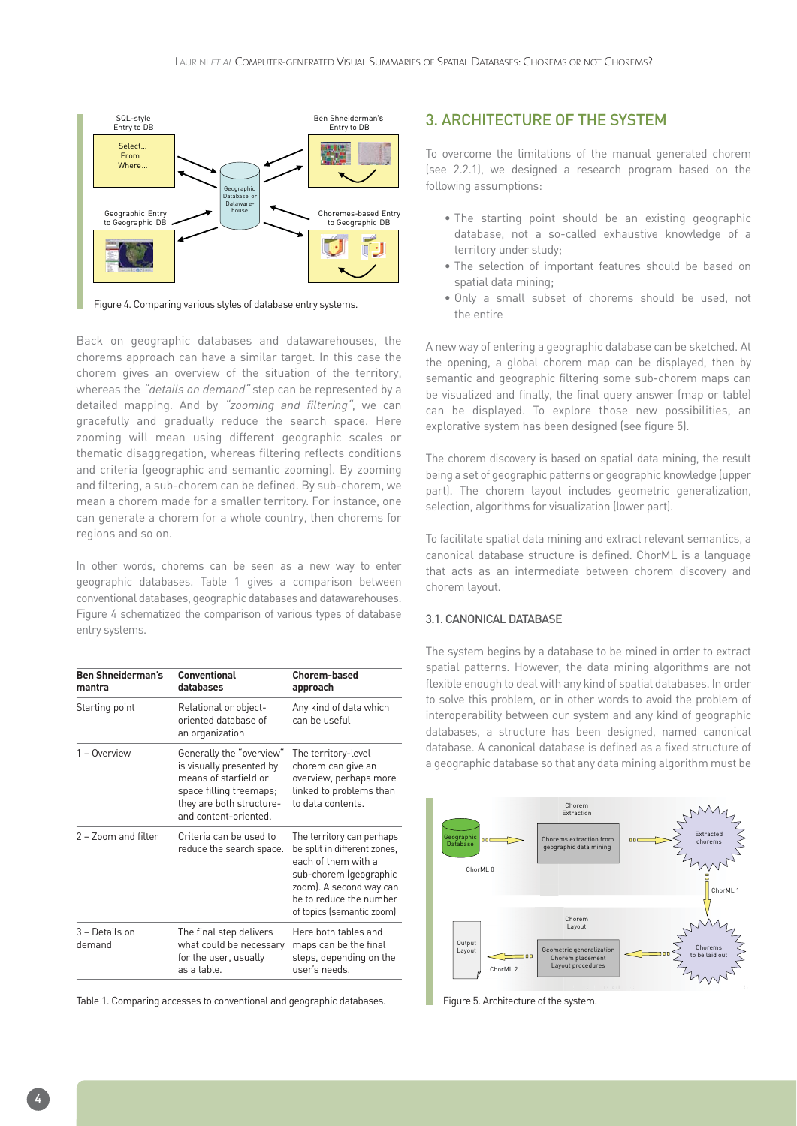

Figure 4. Comparing various styles of database entry systems.

Back on geographic databases and datawarehouses, the chorems approach can have a similar target. In this case the chorem gives an overview of the situation of the territory, whereas the *"details on demand"* step can be represented by a detailed mapping. And by "zooming and filtering", we can gracefully and gradually reduce the search space. Here zooming will mean using different geographic scales or thematic disaggregation, whereas filtering reflects conditions and criteria (geographic and semantic zooming). By zooming and filtering, a sub-chorem can be defined. By sub-chorem, we mean a chorem made for a smaller territory. For instance, one can generate a chorem for a whole country, then chorems for regions and so on.

In other words, chorems can be seen as a new way to enter geographic databases. Table 1 gives a comparison between conventional databases, geographic databases and datawarehouses. Figure 4 schematized the comparison of various types of database entry systems.

| Conventional<br>databases                                                                                                                                    | <b>Chorem-based</b><br>approach                                                                                                                                                               |
|--------------------------------------------------------------------------------------------------------------------------------------------------------------|-----------------------------------------------------------------------------------------------------------------------------------------------------------------------------------------------|
| Relational or object-<br>oriented database of<br>an organization                                                                                             | Any kind of data which<br>can be useful                                                                                                                                                       |
| Generally the "overview"<br>is visually presented by<br>means of starfield or<br>space filling treemaps;<br>they are both structure-<br>and content-oriented | The territory-level<br>chorem can give an<br>overview, perhaps more<br>linked to problems than<br>to data contents.                                                                           |
| Criteria can be used to<br>reduce the search space.                                                                                                          | The territory can perhaps<br>be split in different zones,<br>each of them with a<br>sub-chorem (geographic<br>zoom). A second way can<br>be to reduce the number<br>of topics (semantic zoom) |
| The final step delivers<br>what could be necessary<br>for the user, usually<br>as a table.                                                                   | Here both tables and<br>maps can be the final<br>steps, depending on the<br>user's needs.                                                                                                     |
|                                                                                                                                                              |                                                                                                                                                                                               |

Table 1. Comparing accesses to conventional and geographic databases.

#### 3. ARCHITECTURE OF THE SYSTEM

To overcome the limitations of the manual generated chorem (see 2.2.1), we designed a research program based on the following assumptions:

- The starting point should be an existing geographic database, not a so-called exhaustive knowledge of a territory under study;
- The selection of important features should be based on spatial data mining;
- Only a small subset of chorems should be used, not the entire

A new way of entering a geographic database can be sketched. At the opening, a global chorem map can be displayed, then by semantic and geographic filtering some sub-chorem maps can be visualized and finally, the final query answer (map or table) can be displayed. To explore those new possibilities, an explorative system has been designed (see figure 5).

The chorem discovery is based on spatial data mining, the result being a set of geographic patterns or geographic knowledge (upper part). The chorem layout includes geometric generalization, selection, algorithms for visualization (lower part).

To facilitate spatial data mining and extract relevant semantics, a canonical database structure is defined. ChorML is a language that acts as an intermediate between chorem discovery and chorem layout.

#### 3.1. CANONICAL DATABASE

The system begins by a database to be mined in order to extract spatial patterns. However, the data mining algorithms are not flexible enough to deal with any kind of spatial databases. In order to solve this problem, or in other words to avoid the problem of interoperability between our system and any kind of geographic databases, a structure has been designed, named canonical database. A canonical database is defined as a fixed structure of a geographic database so that any data mining algorithm must be



Figure 5. Architecture of the system.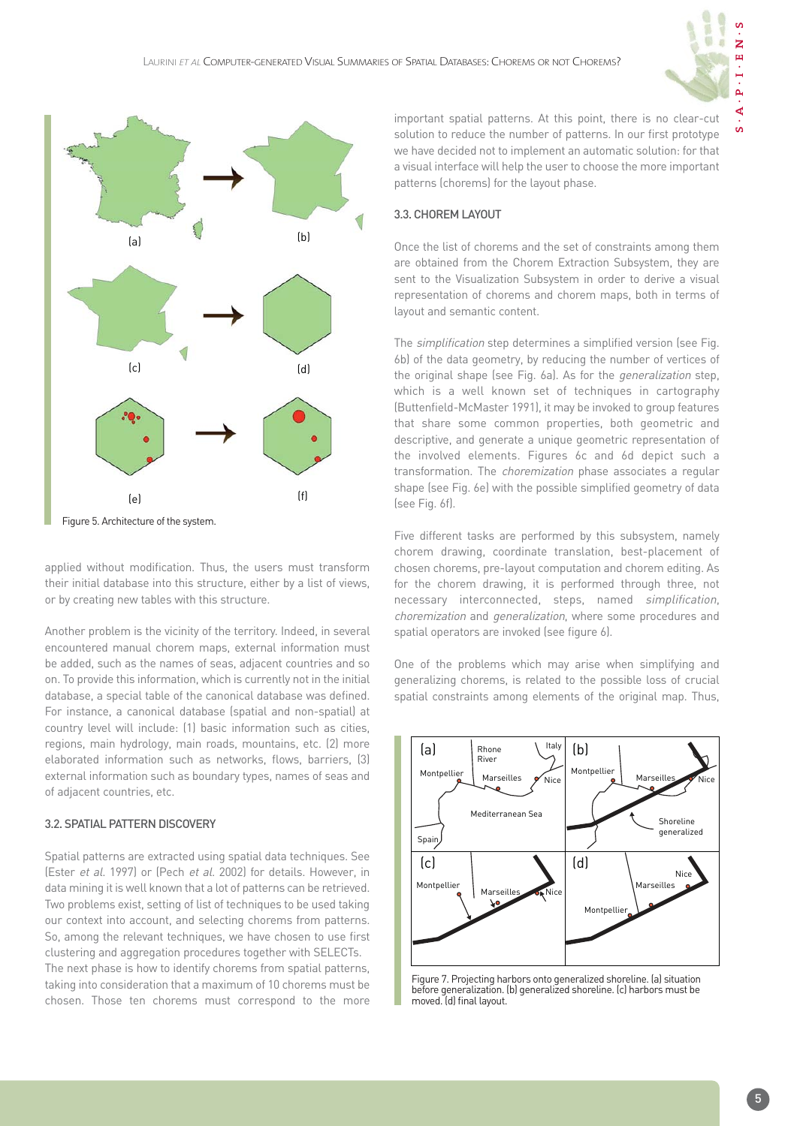

 $\mathbf{S}$ 



Figure 5. Architecture of the system.

applied without modification. Thus, the users must transform their initial database into this structure, either by a list of views, or by creating new tables with this structure.

Another problem is the vicinity of the territory. Indeed, in several encountered manual chorem maps, external information must be added, such as the names of seas, adjacent countries and so on. To provide this information, which is currently not in the initial database, a special table of the canonical database was defined. For instance, a canonical database (spatial and non-spatial) at country level will include: (1) basic information such as cities, regions, main hydrology, main roads, mountains, etc. (2) more elaborated information such as networks, flows, barriers, (3) external information such as boundary types, names of seas and of adjacent countries, etc.

#### 3.2. SPATIAL PATTERN DISCOVERY

Spatial patterns are extracted using spatial data techniques. See (Ester et al. 1997) or (Pech et al. 2002) for details. However, in data mining it is well known that a lot of patterns can be retrieved. Two problems exist, setting of list of techniques to be used taking our context into account, and selecting chorems from patterns. So, among the relevant techniques, we have chosen to use first clustering and aggregation procedures together with SELECTs. The next phase is how to identify chorems from spatial patterns, taking into consideration that a maximum of 10 chorems must be chosen. Those ten chorems must correspond to the more important spatial patterns. At this point, there is no clear-cut solution to reduce the number of patterns. In our first prototype we have decided not to implement an automatic solution: for that a visual interface will help the user to choose the more important patterns (chorems) for the layout phase.

#### 3.3. CHOREM LAYOUT

Once the list of chorems and the set of constraints among them are obtained from the Chorem Extraction Subsystem, they are sent to the Visualization Subsystem in order to derive a visual representation of chorems and chorem maps, both in terms of layout and semantic content.

The simplification step determines a simplified version (see Fig. 6b) of the data geometry, by reducing the number of vertices of the original shape (see Fig. 6a). As for the generalization step, which is a well known set of techniques in cartography (Buttenfield-McMaster 1991), it may be invoked to group features that share some common properties, both geometric and descriptive, and generate a unique geometric representation of the involved elements. Figures 6c and 6d depict such a transformation. The choremization phase associates a regular shape (see Fig. 6e) with the possible simplified geometry of data (see Fig. 6f).

Five different tasks are performed by this subsystem, namely chorem drawing, coordinate translation, best-placement of chosen chorems, pre-layout computation and chorem editing. As for the chorem drawing, it is performed through three, not necessary interconnected, steps, named simplification, choremization and generalization, where some procedures and spatial operators are invoked (see figure 6).

One of the problems which may arise when simplifying and generalizing chorems, is related to the possible loss of crucial spatial constraints among elements of the original map. Thus,



Figure 7. Projecting harbors onto generalized shoreline. (a) situation before generalization. (b) generalized shoreline. (c) harbors must be moved. (d) final layout.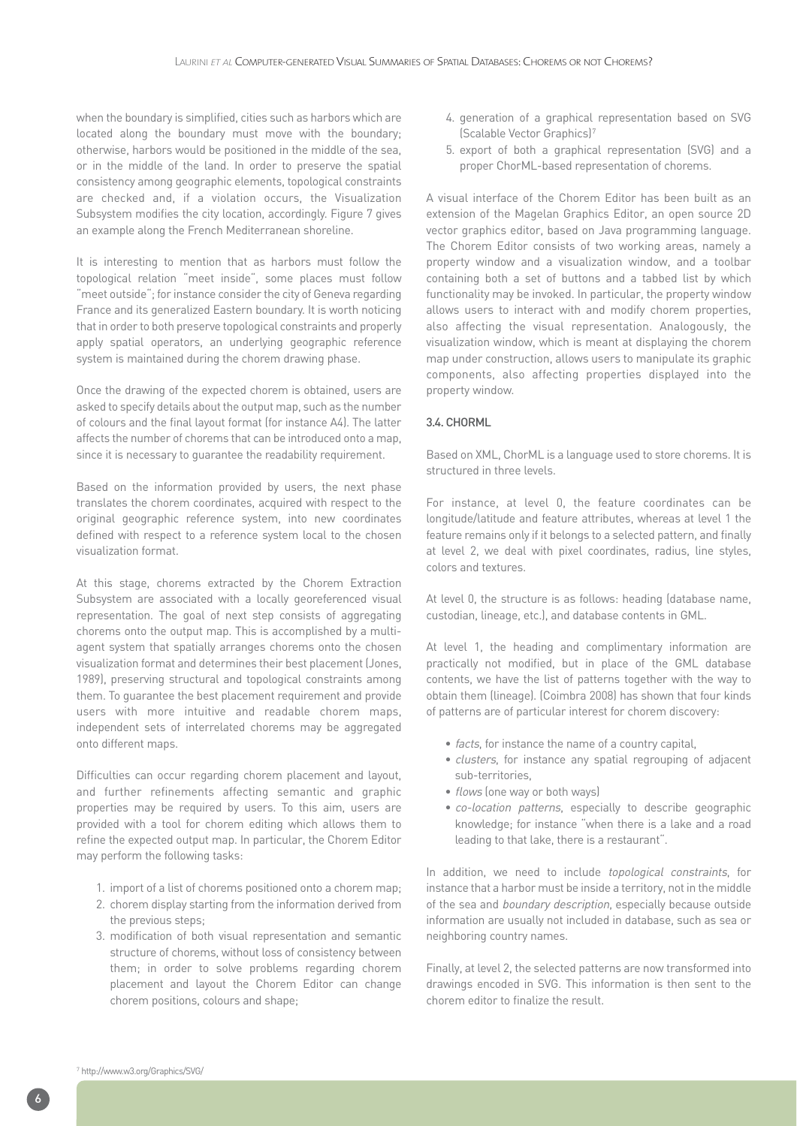when the boundary is simplified, cities such as harbors which are located along the boundary must move with the boundary; otherwise, harbors would be positioned in the middle of the sea, or in the middle of the land. In order to preserve the spatial consistency among geographic elements, topological constraints are checked and, if a violation occurs, the Visualization Subsystem modifies the city location, accordingly. Figure 7 gives an example along the French Mediterranean shoreline.

It is interesting to mention that as harbors must follow the topological relation "meet inside", some places must follow "meet outside"; for instance consider the city of Geneva regarding France and its generalized Eastern boundary. It is worth noticing that in order to both preserve topological constraints and properly apply spatial operators, an underlying geographic reference system is maintained during the chorem drawing phase.

Once the drawing of the expected chorem is obtained, users are asked to specify details about the output map, such as the number of colours and the final layout format (for instance A4). The latter affects the number of chorems that can be introduced onto a map, since it is necessary to guarantee the readability requirement.

Based on the information provided by users, the next phase translates the chorem coordinates, acquired with respect to the original geographic reference system, into new coordinates defined with respect to a reference system local to the chosen visualization format.

At this stage, chorems extracted by the Chorem Extraction Subsystem are associated with a locally georeferenced visual representation. The goal of next step consists of aggregating chorems onto the output map. This is accomplished by a multiagent system that spatially arranges chorems onto the chosen visualization format and determines their best placement (Jones, 1989), preserving structural and topological constraints among them. To guarantee the best placement requirement and provide users with more intuitive and readable chorem maps, independent sets of interrelated chorems may be aggregated onto different maps.

Difficulties can occur regarding chorem placement and layout, and further refinements affecting semantic and graphic properties may be required by users. To this aim, users are provided with a tool for chorem editing which allows them to refine the expected output map. In particular, the Chorem Editor may perform the following tasks:

- 1. import of a list of chorems positioned onto a chorem map;
- 2. chorem display starting from the information derived from the previous steps;
- 3. modification of both visual representation and semantic structure of chorems, without loss of consistency between them; in order to solve problems regarding chorem placement and layout the Chorem Editor can change chorem positions, colours and shape;
- 4. generation of a graphical representation based on SVG (Scalable Vector Graphics)7
- 5. export of both a graphical representation (SVG) and a proper ChorML-based representation of chorems.

A visual interface of the Chorem Editor has been built as an extension of the Magelan Graphics Editor, an open source 2D vector graphics editor, based on Java programming language. The Chorem Editor consists of two working areas, namely a property window and a visualization window, and a toolbar containing both a set of buttons and a tabbed list by which functionality may be invoked. In particular, the property window allows users to interact with and modify chorem properties, also affecting the visual representation. Analogously, the visualization window, which is meant at displaying the chorem map under construction, allows users to manipulate its graphic components, also affecting properties displayed into the property window.

#### 3.4. CHORML

Based on XML, ChorML is a language used to store chorems. It is structured in three levels.

For instance, at level 0, the feature coordinates can be longitude/latitude and feature attributes, whereas at level 1 the feature remains only if it belongs to a selected pattern, and finally at level 2, we deal with pixel coordinates, radius, line styles, colors and textures.

At level 0, the structure is as follows: heading (database name, custodian, lineage, etc.), and database contents in GML.

At level 1, the heading and complimentary information are practically not modified, but in place of the GML database contents, we have the list of patterns together with the way to obtain them (lineage). (Coimbra 2008) has shown that four kinds of patterns are of particular interest for chorem discovery:

- facts, for instance the name of a country capital,
- clusters, for instance any spatial regrouping of adjacent sub-territories,
- *flows* (one way or both ways)
- co-location patterns, especially to describe geographic knowledge; for instance "when there is a lake and a road leading to that lake, there is a restaurant".

In addition, we need to include topological constraints, for instance that a harbor must be inside a territory, not in the middle of the sea and boundary description, especially because outside information are usually not included in database, such as sea or neighboring country names.

Finally, at level 2, the selected patterns are now transformed into drawings encoded in SVG. This information is then sent to the chorem editor to finalize the result.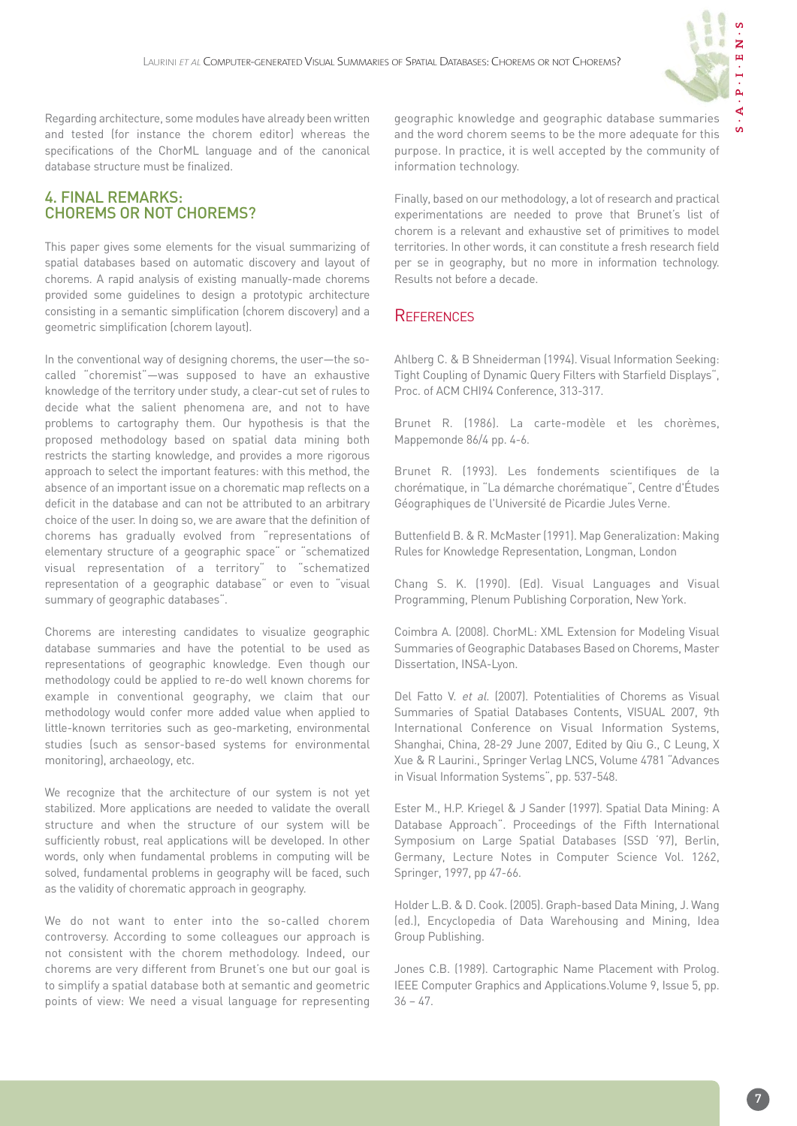

Regarding architecture, some modules have already been written and tested (for instance the chorem editor) whereas the specifications of the ChorML language and of the canonical database structure must be finalized.

## 4. FINAL REMARKS: CHOREMS OR NOT CHOREMS?

This paper gives some elements for the visual summarizing of spatial databases based on automatic discovery and layout of chorems. A rapid analysis of existing manually-made chorems provided some guidelines to design a prototypic architecture consisting in a semantic simplification (chorem discovery) and a geometric simplification (chorem layout).

In the conventional way of designing chorems, the user—the socalled "choremist"—was supposed to have an exhaustive knowledge of the territory under study, a clear-cut set of rules to decide what the salient phenomena are, and not to have problems to cartography them. Our hypothesis is that the proposed methodology based on spatial data mining both restricts the starting knowledge, and provides a more rigorous approach to select the important features: with this method, the absence of an important issue on a chorematic map reflects on a deficit in the database and can not be attributed to an arbitrary choice of the user. In doing so, we are aware that the definition of chorems has gradually evolved from "representations of elementary structure of a geographic space" or "schematized visual representation of a territory" to "schematized representation of a geographic database" or even to "visual summary of geographic databases".

Chorems are interesting candidates to visualize geographic database summaries and have the potential to be used as representations of geographic knowledge. Even though our methodology could be applied to re-do well known chorems for example in conventional geography, we claim that our methodology would confer more added value when applied to little-known territories such as geo-marketing, environmental studies (such as sensor-based systems for environmental monitoring), archaeology, etc.

We recognize that the architecture of our system is not yet stabilized. More applications are needed to validate the overall structure and when the structure of our system will be sufficiently robust, real applications will be developed. In other words, only when fundamental problems in computing will be solved, fundamental problems in geography will be faced, such as the validity of chorematic approach in geography.

We do not want to enter into the so-called chorem controversy. According to some colleagues our approach is not consistent with the chorem methodology. Indeed, our chorems are very different from Brunet's one but our goal is to simplify a spatial database both at semantic and geometric points of view: We need a visual language for representing geographic knowledge and geographic database summaries and the word chorem seems to be the more adequate for this purpose. In practice, it is well accepted by the community of information technology.

Finally, based on our methodology, a lot of research and practical experimentations are needed to prove that Brunet's list of chorem is a relevant and exhaustive set of primitives to model territories. In other words, it can constitute a fresh research field per se in geography, but no more in information technology. Results not before a decade.

## **REFERENCES**

Ahlberg C. & B Shneiderman (1994). Visual Information Seeking: Tight Coupling of Dynamic Query Filters with Starfield Displays", Proc. of ACM CHI94 Conference, 313-317.

Brunet R. (1986). La carte-modèle et les chorèmes, Mappemonde 86/4 pp. 4-6.

Brunet R. (1993). Les fondements scientifiques de la chorématique, in "La démarche chorématique", Centre d'Études Géographiques de l'Université de Picardie Jules Verne.

Buttenfield B. & R. McMaster (1991). Map Generalization: Making Rules for Knowledge Representation, Longman, London

Chang S. K. (1990). (Ed). Visual Languages and Visual Programming, Plenum Publishing Corporation, New York.

Coimbra A. (2008). ChorML: XML Extension for Modeling Visual Summaries of Geographic Databases Based on Chorems, Master Dissertation, INSA-Lyon.

Del Fatto V. et al. (2007). Potentialities of Chorems as Visual Summaries of Spatial Databases Contents, VISUAL 2007, 9th International Conference on Visual Information Systems, Shanghai, China, 28-29 June 2007, Edited by Qiu G., C Leung, X Xue & R Laurini., Springer Verlag LNCS, Volume 4781 "Advances in Visual Information Systems", pp. 537-548.

Ester M., H.P. Kriegel & J Sander (1997). Spatial Data Mining: A Database Approach". Proceedings of the Fifth International Symposium on Large Spatial Databases (SSD '97), Berlin, Germany, Lecture Notes in Computer Science Vol. 1262, Springer, 1997, pp 47-66.

Holder L.B. & D. Cook. (2005). Graph-based Data Mining, J. Wang (ed.), Encyclopedia of Data Warehousing and Mining, Idea Group Publishing.

Jones C.B. (1989). Cartographic Name Placement with Prolog. IEEE Computer Graphics and Applications.Volume 9, Issue 5, pp.  $36 - 47.$